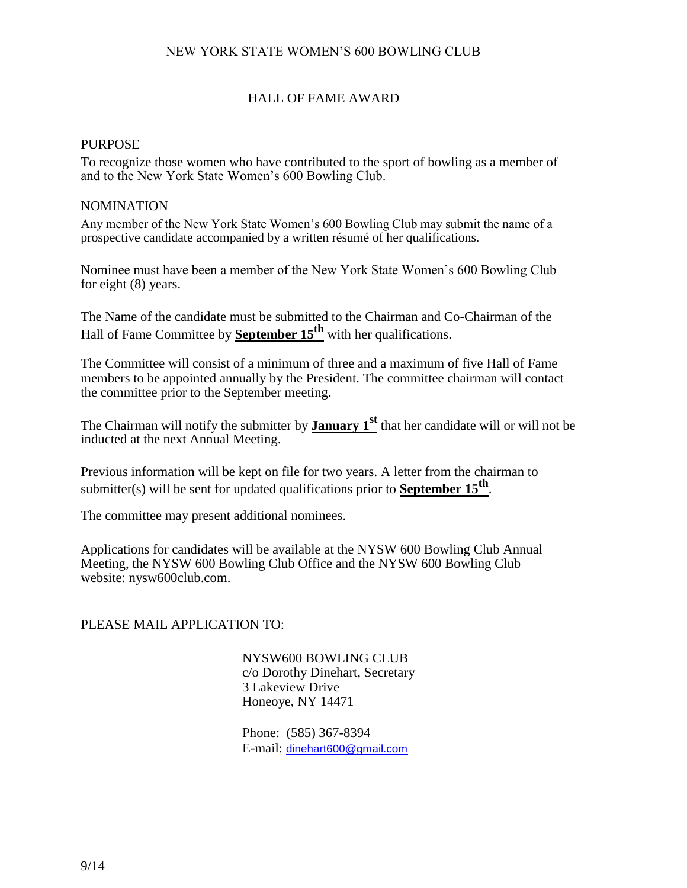## NEW YORK STATE WOMEN'S 600 BOWLING CLUB

## HALL OF FAME AWARD

#### **PURPOSE**

To recognize those women who have contributed to the sport of bowling as a member of and to the New York State Women's 600 Bowling Club.

#### NOMINATION

Any member of the New York State Women's 600 Bowling Club may submit the name of a prospective candidate accompanied by a written résumé of her qualifications.

Nominee must have been a member of the New York State Women's 600 Bowling Club for eight (8) years.

The Name of the candidate must be submitted to the Chairman and Co-Chairman of the Hall of Fame Committee by **September 15th** with her qualifications.

The Committee will consist of a minimum of three and a maximum of five Hall of Fame members to be appointed annually by the President. The committee chairman will contact the committee prior to the September meeting.

The Chairman will notify the submitter by **January 1st** that her candidate will or will not be inducted at the next Annual Meeting.

Previous information will be kept on file for two years. A letter from the chairman to submitter(s) will be sent for updated qualifications prior to **September 15th** .

The committee may present additional nominees.

Applications for candidates will be available at the NYSW 600 Bowling Club Annual Meeting, the NYSW 600 Bowling Club Office and the NYSW 600 Bowling Club website: nysw600club.com.

### PLEASE MAIL APPLICATION TO:

NYSW600 BOWLING CLUB c/o Dorothy Dinehart, Secretary 3 Lakeview Drive Honeoye, NY 14471

Phone: (585) 367-8394 E-mail: [dinehart600@gmail.com](mailto:dinehart600@gmail.com)